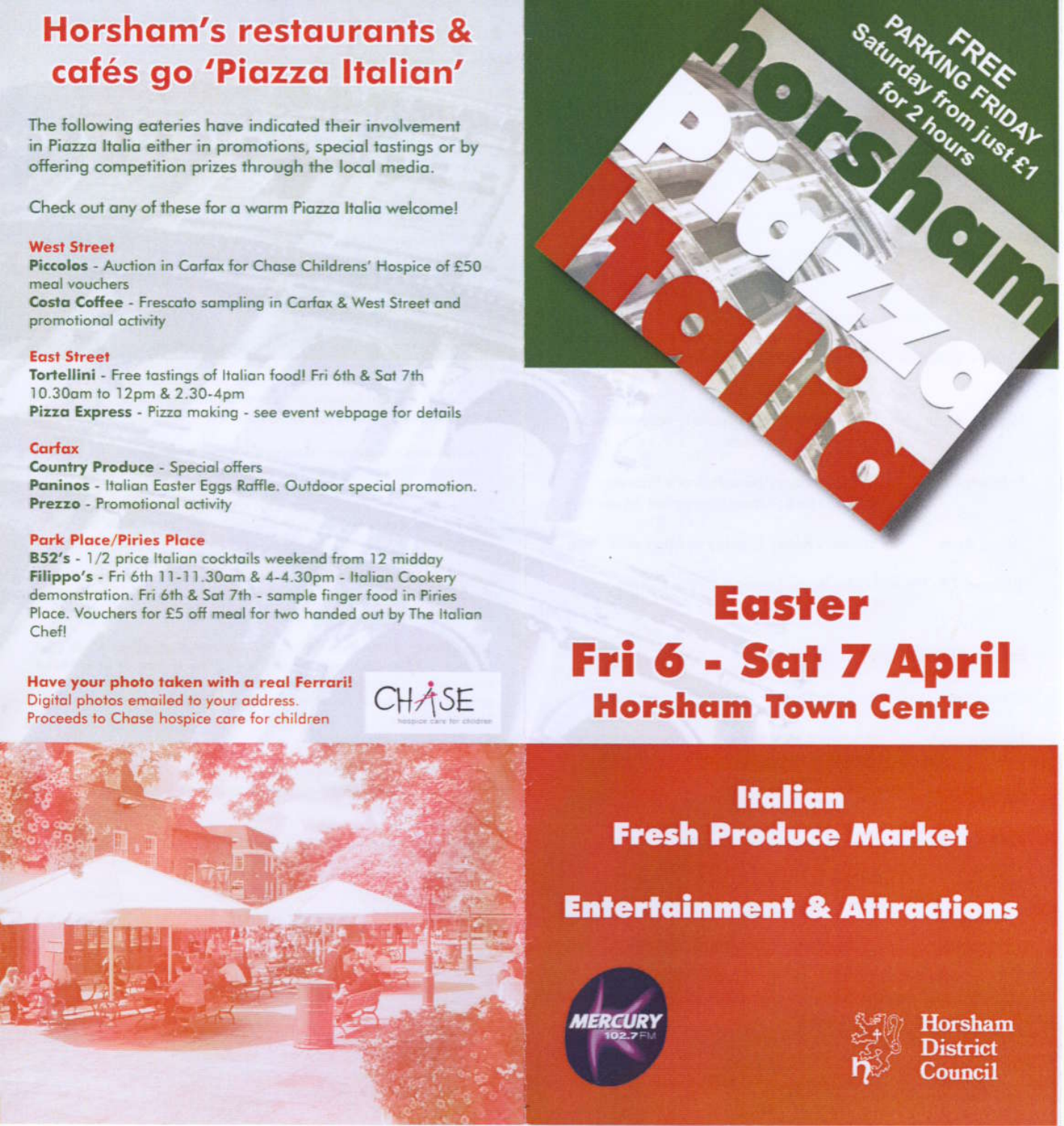## **Horsham's restaurants &** cafés go 'Piazza Italian'

The following eateries have indicated their involvement in Piazza Italia either in promotions, special tastings or by offering competition prizes through the local media.

Check out any of these for a warm Piazza Italia welcome!

#### **West Street**

Piccolos - Auction in Carfax for Chase Childrens' Hospice of £50 meal vouchers Costa Coffee - Frescato sampling in Carfax & West Street and

#### **East Street**

promotional activity

Tortellini - Free tastings of Italian food! Fri 6th & Sat 7th 10.30am to 12pm & 2.30-4pm Pizza Express - Pizza making - see event webpage for details

#### Carfax

**Country Produce - Special offers** Paninos - Italian Easter Eggs Raffle. Outdoor special promotion. Prezzo - Promotional activity

#### **Park Place/Piries Place**

B52's - 1/2 price Italian cocktails weekend from 12 midday Filippo's - Fri 6th 11-11.30am & 4-4.30pm - Italian Cookery demonstration. Fri 6th & Sat 7th - sample finger food in Piries Place. Vouchers for £5 off meal for two handed out by The Italian Chefl

Have your photo taken with a real Ferrari! Digital photos emailed to your address. Proceeds to Chase hospice care for children







# **Easter** Fri 6 - Sat 7 April **Horsham Town Centre**

**Italian Fresh Produce Market** 

### **Entertainment & Attractions**





**Horsham District** Council